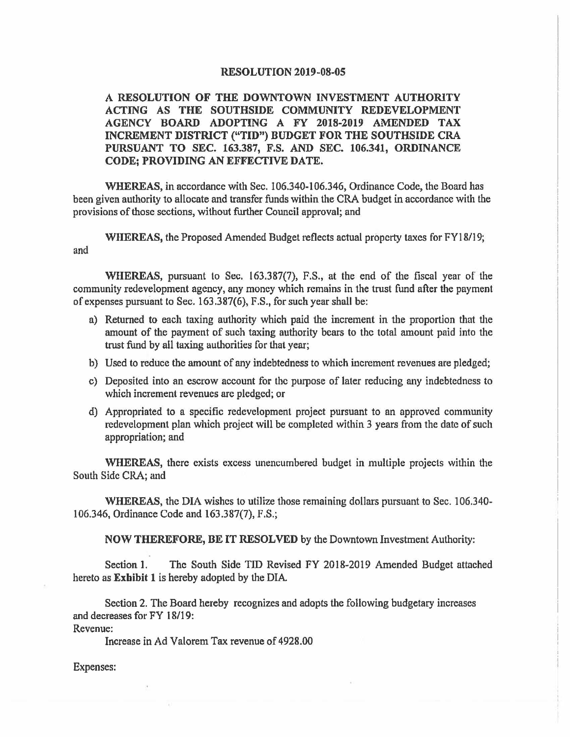## **RESOLUTION 2019-08-05**

**A RESOLUTION OF THE DOWNTOWN INVESTMENT AUTHORITY ACTING AS THE SOUTHSIDE COMMUNITY REDEVELOPMENT AGENCY BOARD ADOPTING A FY 2018-2019 AMENDED TAX INCREMENT DISTRICT ("TID") BUDGET FOR THE SOUTHSIDE CRA PURSUANT TO SEC. 163.387, F.S. AND SEC. 106.341, ORDINANCE CODE: PROVIDING AN EFFECTIVE DATE.** 

**WHEREAS,** in accordance with Sec. 106.340-106.346, Ordinance Code, the Board has been given authority to allocate and transfer funds within the CRA budget in accordance with the provisions of those sections, without further Council approval; and

**WHEREAS,** the Proposed Amended Budget reflects actual property taxes for FYI 8/19; and

**WHEREAS,** pursuant to Sec. 163.387(7), F.S., at the end of the fiscal year of the community redevelopment agency, any money which remains in the trust fund after the payment of expenses pursuant to Sec. 163.387(6), F.S., for such year shall be:

- n) Returned to each taxing authority which paid the increment in the proportion that the amount of the payment of such taxing authority bears to the total amount paid into the trust fund by all taxing authorities for that year;
- b) Used to reduce the amount of any indebtedness to which increment revenues are pledged;
- c) Deposited into an escrow account for the purpose of later reducing any indebtedness to which increment revenues are pledged; or
- d) Appropriated to a specific redevelopment project pursuant to an approved community redevelopment plan which project will be completed within 3 years from the date of such appropriation; and

**WHEREAS,** there exists excess unencumbered budget in multiple projects within the South Side CRA; and

WHEREAS, the DIA wishes to utilize those remaining dollars pursuant to Sec. 106.340-106.346, Ordinance Code and 163.387(7), F.S.;

**NOW THEREFORE, BE IT RESOLVED** by the Downtown Investment Authority:

Section 1. The South Side TID Revised FY 2018-2019 Amended Budget attached hereto as **Exhibit 1** is hereby adopted by the DIA

Section 2. The Board hereby recognizes and adopts the following budgetary increases and decreases for FY 18/19:

Revenue:

Increase in Ad Valorem Tax revenue of 4928.00

Expenses: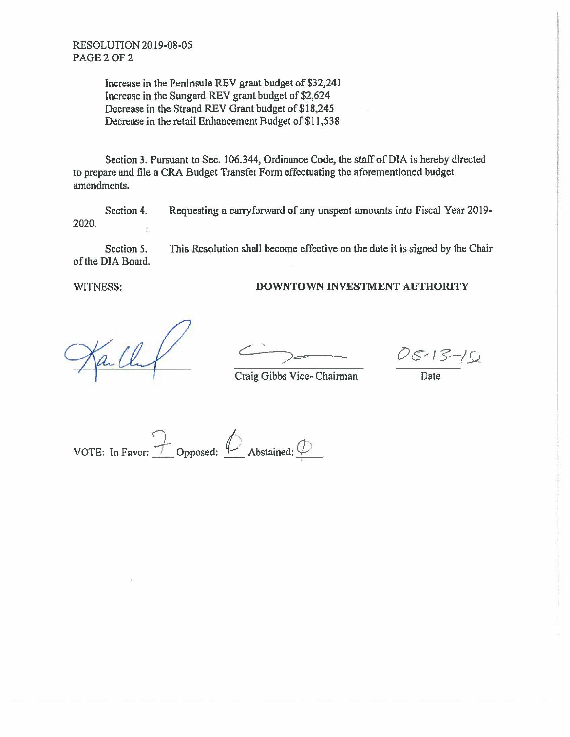Increase in the Peninsula REV grant budget of \$32,241 Increase in the Sungard REV grant budget of \$2,624 Decrease in the Strand REV Grant budget of \$18,245 Decrease in the retail Enhancement Budget of \$11,538

Section 3. Pursuant to Sec. 106.344, Ordinance Code, the staff of DIA is hereby directed to prepare and file a CRA Budget Transfer Form effectuating the aforementioned budget amendments.

Section 4. Requesting a carryforward of any unspent amounts into Fiscal Year 2019- 2020.

Section 5. This Resolution shall become effective on the date it is signed by the Chair of the DIA Board.

## WITNESS: **DOWNTOWN INVESTMENT AUTHORITY**

 $05 - 15 - 10$ 

**Craig Gibbs Vice- Chairman** Date

 $\overline{V}$  vOTE: In Favor:  $\overline{V}$  Opposed:  $\overline{V}$  Abstained:  $\overline{V}$ •